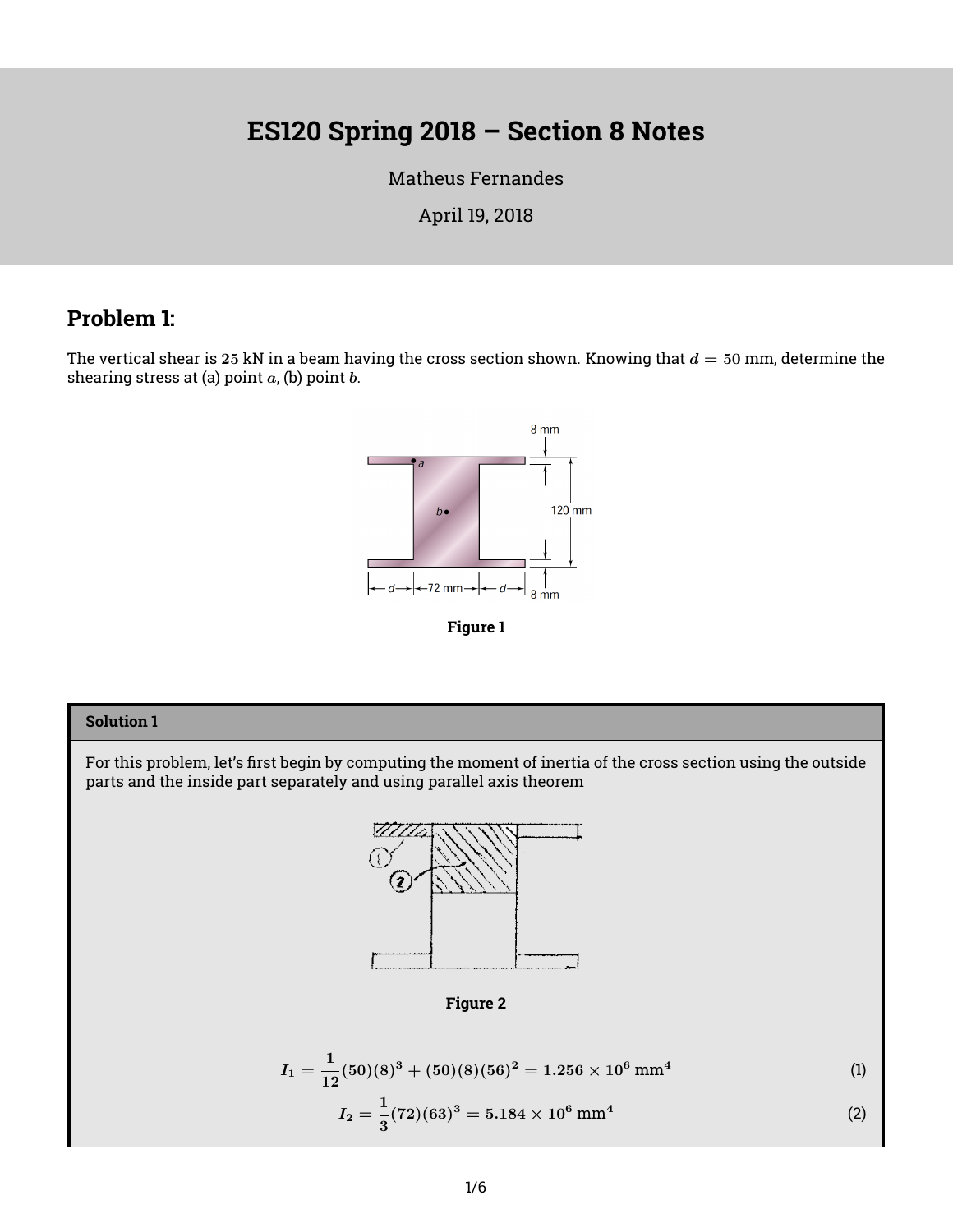# **ES120 Spring 2018 – Section 8 Notes**

[Matheus Fernandes](http://fer.me)

April 19, 2018

### **Problem 1:**

The vertical shear is 25 kN in a beam having the cross section shown. Knowing that  $d = 50$  mm, determine the shearing stress at (a) point  $a$ , (b) point  $b$ .





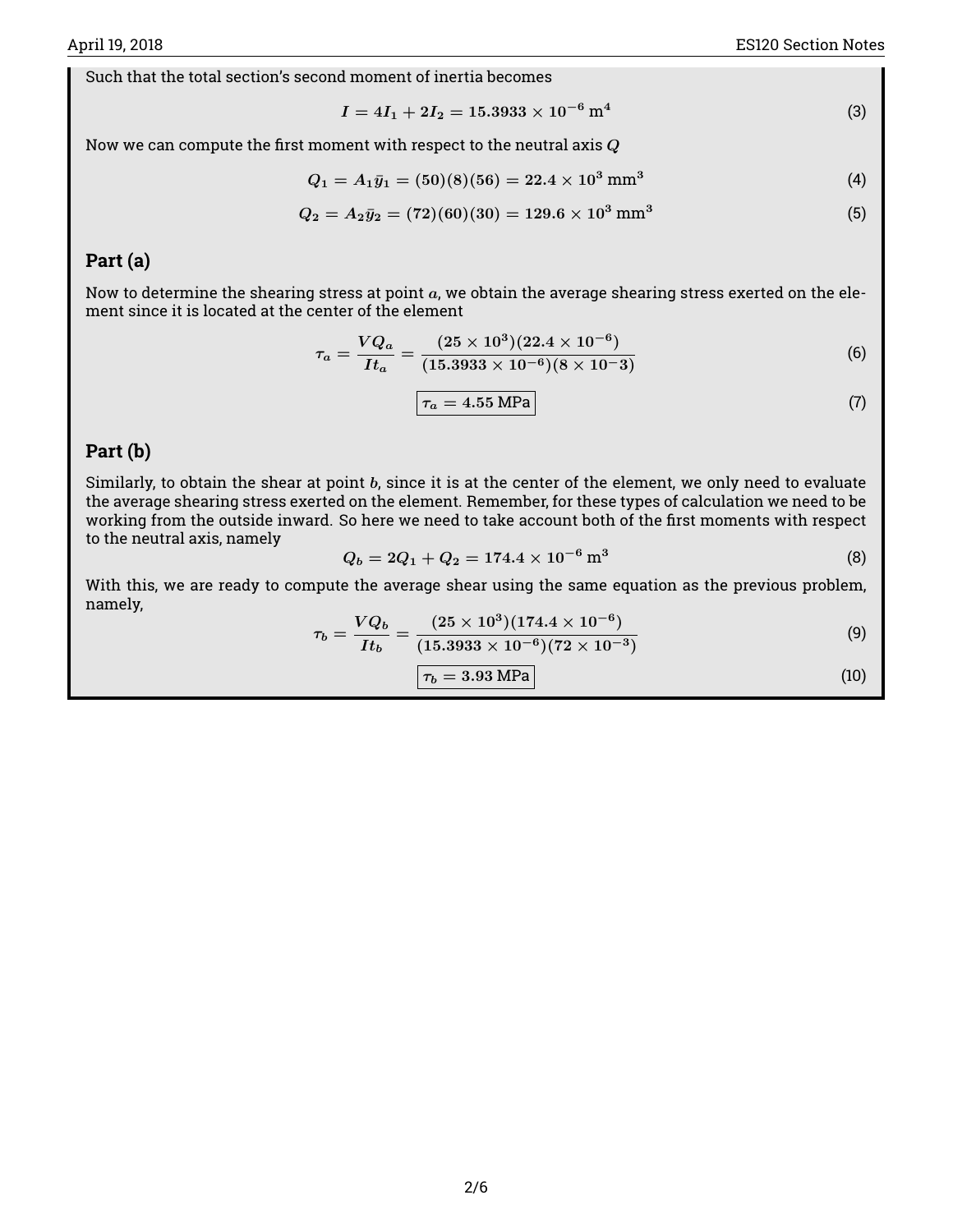Such that the total section's second moment of inertia becomes

$$
I = 4I_1 + 2I_2 = 15.3933 \times 10^{-6} \,\mathrm{m}^4 \tag{3}
$$

Now we can compute the first moment with respect to the neutral axis  $\boldsymbol{Q}$ 

$$
Q_1 = A_1 \bar{y}_1 = (50)(8)(56) = 22.4 \times 10^3 \text{ mm}^3 \tag{4}
$$

$$
Q_2 = A_2 \bar{y}_2 = (72)(60)(30) = 129.6 \times 10^3 \text{ mm}^3 \tag{5}
$$

#### **Part (a)**

Now to determine the shearing stress at point  $a$ , we obtain the average shearing stress exerted on the element since it is located at the center of the element

$$
\tau_a = \frac{VQ_a}{It_a} = \frac{(25 \times 10^3)(22.4 \times 10^{-6})}{(15.3933 \times 10^{-6})(8 \times 10^{-3})}
$$
(6)

$$
\tau_a = 4.55 \text{ MPa} \tag{7}
$$

#### **Part (b)**

Similarly, to obtain the shear at point  $b$ , since it is at the center of the element, we only need to evaluate the average shearing stress exerted on the element. Remember, for these types of calculation we need to be working from the outside inward. So here we need to take account both of the first moments with respect to the neutral axis, namely

$$
Q_b = 2Q_1 + Q_2 = 174.4 \times 10^{-6} \,\mathrm{m}^3 \tag{8}
$$

With this, we are ready to compute the average shear using the same equation as the previous problem, namely,

$$
\tau_b = \frac{VQ_b}{It_b} = \frac{(25 \times 10^3)(174.4 \times 10^{-6})}{(15.3933 \times 10^{-6})(72 \times 10^{-3})}
$$
\n(9)

$$
\boxed{\tau_b = 3.93 \text{ MPa}} \tag{10}
$$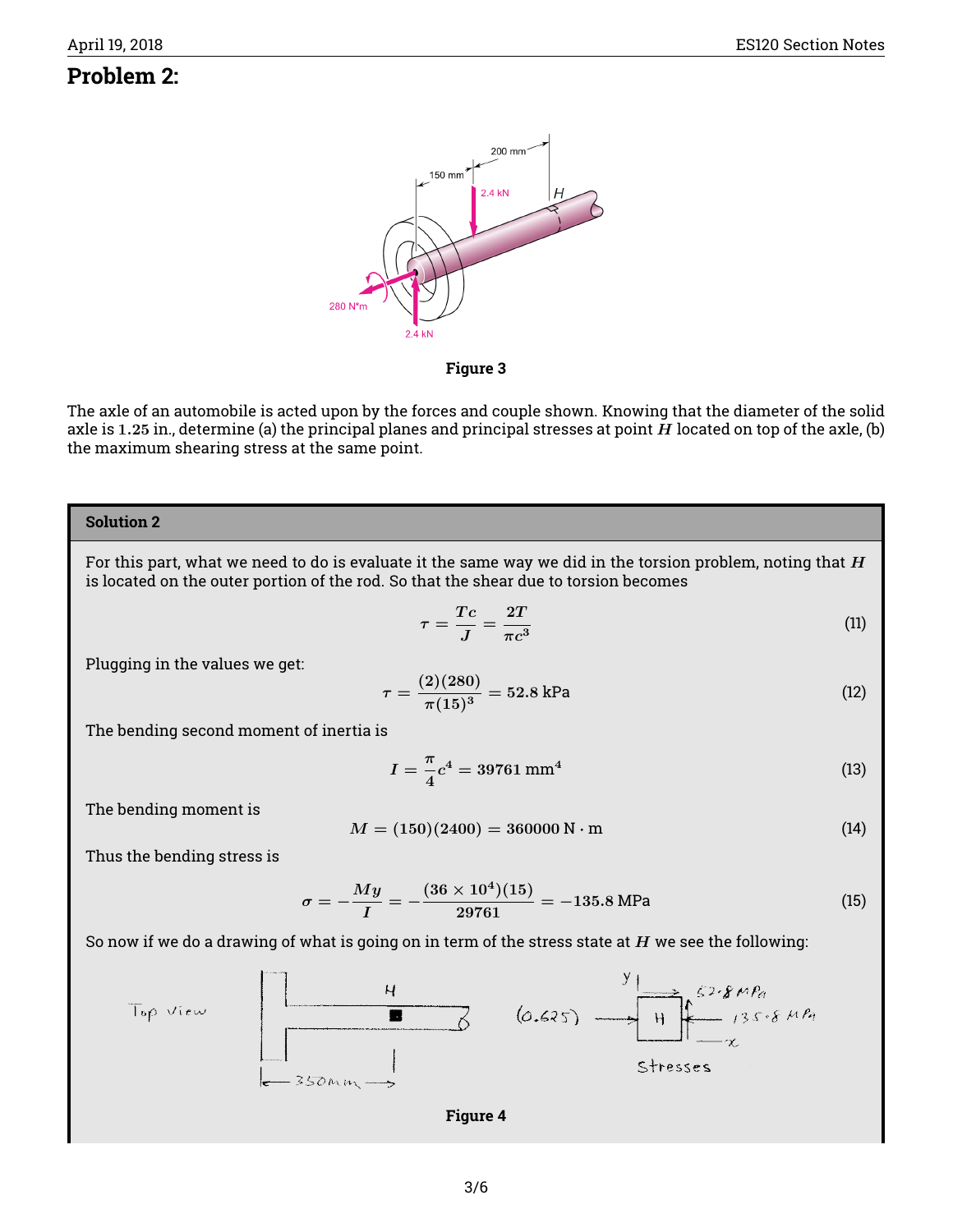### **Problem 2:**



**Figure 3**

The axle of an automobile is acted upon by the forces and couple shown. Knowing that the diameter of the solid axle is 1.25 in., determine (a) the principal planes and principal stresses at point  $H$  located on top of the axle, (b) the maximum shearing stress at the same point.

#### **Solution 2**

For this part, what we need to do is evaluate it the same way we did in the torsion problem, noting that  $H$ is located on the outer portion of the rod. So that the shear due to torsion becomes

$$
\tau = \frac{Tc}{J} = \frac{2T}{\pi c^3} \tag{11}
$$

Plugging in the values we get:

$$
\tau = \frac{(2)(280)}{\pi (15)^3} = 52.8 \text{ kPa} \tag{12}
$$

The bending second moment of inertia is

$$
I = \frac{\pi}{4}c^4 = 39761 \text{ mm}^4 \tag{13}
$$

The bending moment is

$$
M = (150)(2400) = 360000 \,\mathrm{N \cdot m} \tag{14}
$$

Thus the bending stress is

$$
\sigma = -\frac{My}{I} = -\frac{(36 \times 10^4)(15)}{29761} = -135.8 \text{ MPa}
$$
 (15)

So now if we do a drawing of what is going on in term of the stress state at  $H$  we see the following:



**Figure 4**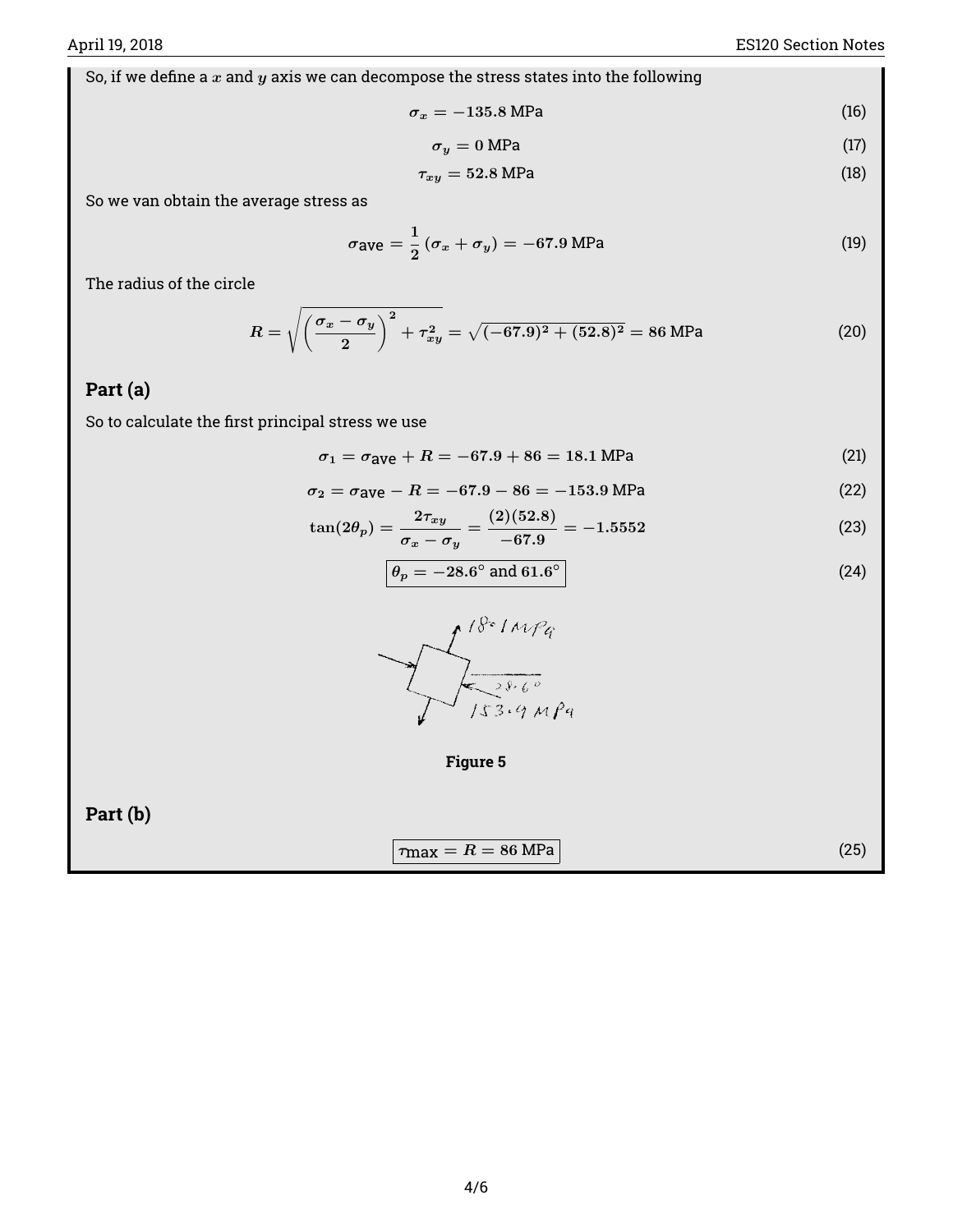So, if we define a  $x$  and  $y$  axis we can decompose the stress states into the following

$$
\sigma_x = -135.8 \text{ MPa} \tag{16}
$$

$$
\sigma_y = 0 \text{ MPa} \tag{17}
$$

$$
\tau_{xy} = 52.8 \text{ MPa} \tag{18}
$$

So we van obtain the average stress as

$$
\sigma_{\text{ave}} = \frac{1}{2} \left( \sigma_x + \sigma_y \right) = -67.9 \text{ MPa}
$$
 (19)

The radius of the circle

$$
R = \sqrt{\left(\frac{\sigma_x - \sigma_y}{2}\right)^2 + \tau_{xy}^2} = \sqrt{(-67.9)^2 + (52.8)^2} = 86 \text{ MPa}
$$
 (20)

#### **Part (a)**

So to calculate the first principal stress we use

$$
\sigma_1 = \sigma_{\text{ave}} + R = -67.9 + 86 = 18.1 \text{ MPa}
$$
 (21)

$$
\sigma_2 = \sigma_{\text{ave}} - R = -67.9 - 86 = -153.9 \text{ MPa} \tag{22}
$$

$$
\tan(2\theta_p) = \frac{2\tau_{xy}}{\sigma_x - \sigma_y} = \frac{(2)(52.8)}{-67.9} = -1.5552\tag{23}
$$

$$
\theta_p = -28.6^\circ \text{ and } 61.6^\circ \tag{24}
$$





**Part (b)**

$$
\tau_{\text{max}} = R = 86 \text{ MPa} \tag{25}
$$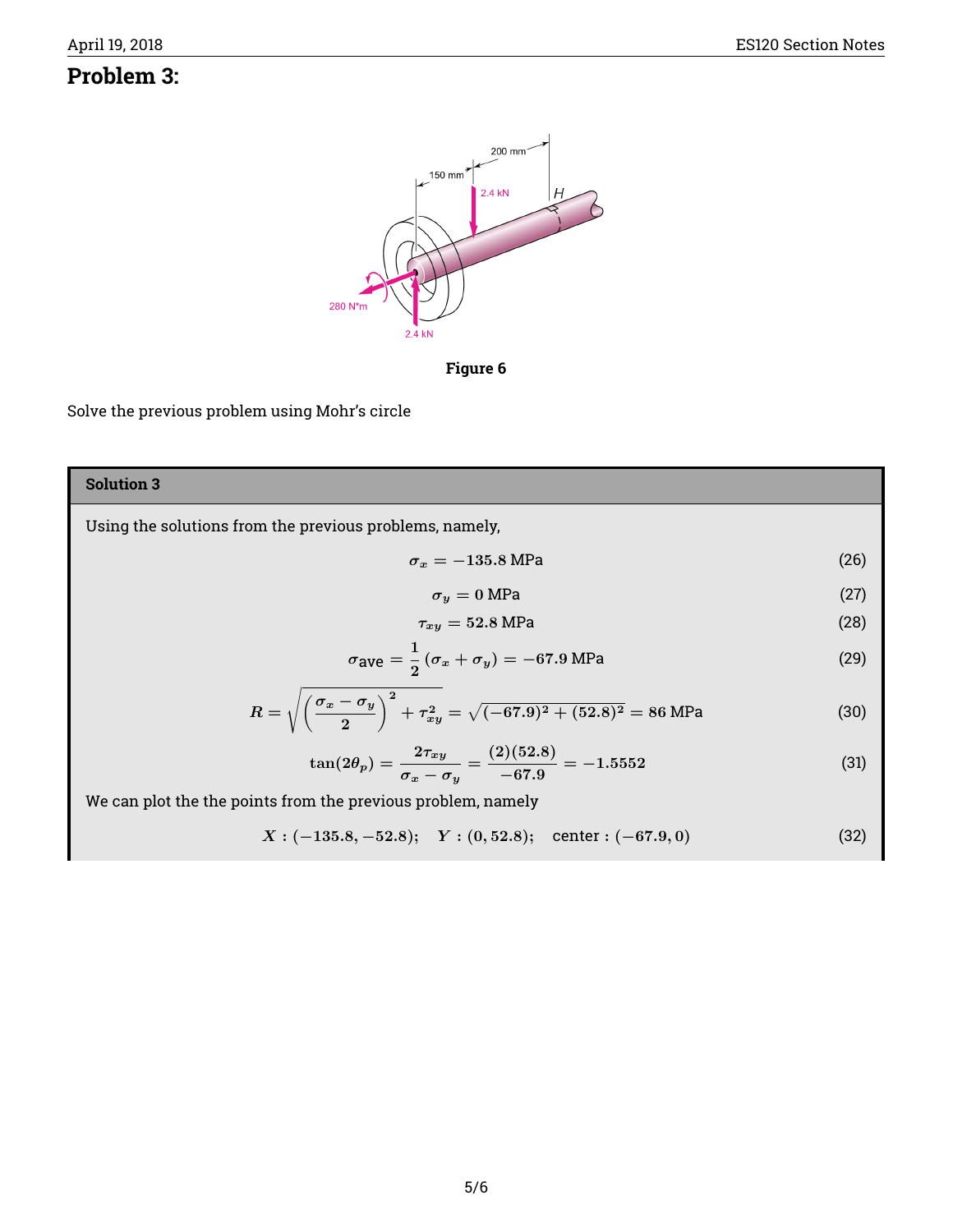## **Problem 3:**





Solve the previous problem using Mohr's circle

## **Solution 3** Using the solutions from the previous problems, namely,  $\sigma_x = -135.8 \text{ MPa}$  (26)  $\sigma_y = 0$  MPa (27)  $\tau_{xy} = 52.8 \text{ MPa}$  (28)  $\sigma$ ave  $=\frac{1}{2}$  $\frac{1}{2}(\sigma_x + \sigma_y) = -67.9 \text{ MPa}$  (29)  $R = \sqrt{\left(\frac{\sigma_x - \sigma_y}{\sigma_z}\right)}$ 2  $\int_0^2 + \tau_{xy}^2 = \sqrt{(-67.9)^2 + (52.8)^2} = 86$  MPa (30)  $\tan(2\theta_p)=\frac{2\tau_{xy}}{\sigma_x-\sigma_y}=\frac{(2)(52.8)}{-67.9}$  $\frac{(-61.5)}{-67.9} = -1.5552$  (31) We can plot the the points from the previous problem, namely  $X: (-135.8, -52.8);$   $Y: (0, 52.8);$  center :  $(-67.9, 0)$  (32)